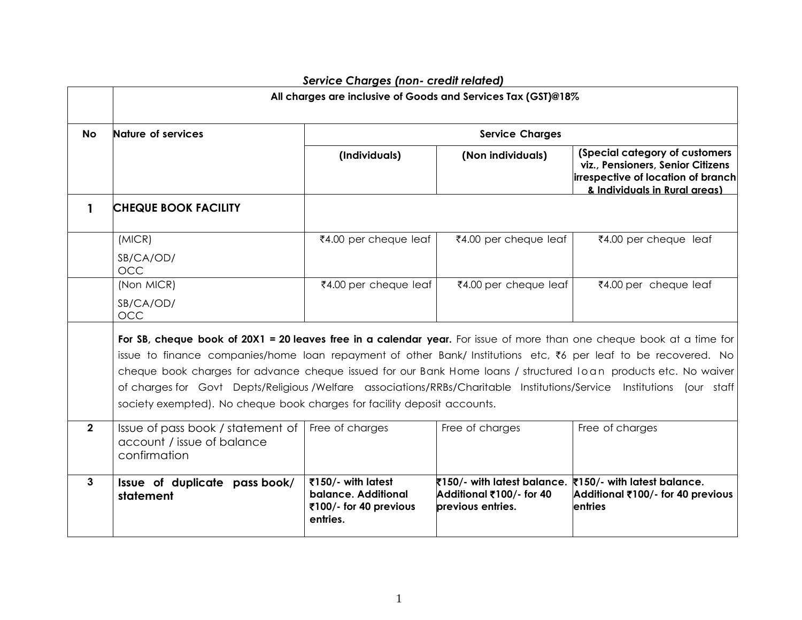|                | .co charged (non-orden relation)<br>All charges are inclusive of Goods and Services Tax (GST)@18%                                                                                                                                                                                                                                                                                                                                                                                                                                                                |                                                                                 |                                                                              |                                                                                                                                            |  |
|----------------|------------------------------------------------------------------------------------------------------------------------------------------------------------------------------------------------------------------------------------------------------------------------------------------------------------------------------------------------------------------------------------------------------------------------------------------------------------------------------------------------------------------------------------------------------------------|---------------------------------------------------------------------------------|------------------------------------------------------------------------------|--------------------------------------------------------------------------------------------------------------------------------------------|--|
| <b>No</b>      | Nature of services                                                                                                                                                                                                                                                                                                                                                                                                                                                                                                                                               |                                                                                 | <b>Service Charges</b>                                                       |                                                                                                                                            |  |
|                |                                                                                                                                                                                                                                                                                                                                                                                                                                                                                                                                                                  | (Individuals)                                                                   | (Non individuals)                                                            | (Special category of customers<br>viz., Pensioners, Senior Citizens<br>irrespective of location of branch<br>& Individuals in Rural areas) |  |
| 1              | <b>CHEQUE BOOK FACILITY</b>                                                                                                                                                                                                                                                                                                                                                                                                                                                                                                                                      |                                                                                 |                                                                              |                                                                                                                                            |  |
|                | (MICR)<br>SB/CA/OD/<br><b>OCC</b>                                                                                                                                                                                                                                                                                                                                                                                                                                                                                                                                | ₹4.00 per cheque leaf                                                           | ₹4.00 per cheque leaf                                                        | ₹4.00 per cheque leaf                                                                                                                      |  |
|                | (Non MICR)<br>SB/CA/OD/<br><b>OCC</b>                                                                                                                                                                                                                                                                                                                                                                                                                                                                                                                            | ₹4.00 per cheque leaf                                                           | ₹4.00 per cheque leaf                                                        | ₹4.00 per cheque leaf                                                                                                                      |  |
|                | For SB, cheque book of 20X1 = 20 leaves free in a calendar year. For issue of more than one cheque book at a time for<br>issue to finance companies/home loan repayment of other Bank/ Institutions etc, ₹6 per leaf to be recovered. No<br>cheque book charges for advance cheque issued for our Bank Home loans / structured loan products etc. No waiver<br>of charges for Govt Depts/Religious/Welfare associations/RRBs/Charitable Institutions/Service Institutions (our staff<br>society exempted). No cheque book charges for facility deposit accounts. |                                                                                 |                                                                              |                                                                                                                                            |  |
| $\overline{2}$ | Issue of pass book / statement of<br>account / issue of balance<br>confirmation                                                                                                                                                                                                                                                                                                                                                                                                                                                                                  | Free of charges                                                                 | Free of charges                                                              | Free of charges                                                                                                                            |  |
| $\mathbf{3}$   | Issue of duplicate pass book/<br>statement                                                                                                                                                                                                                                                                                                                                                                                                                                                                                                                       | ₹150/- with latest<br>balance. Additional<br>₹100/- for 40 previous<br>entries. | ₹150/- with latest balance.<br>Additional ₹100/- for 40<br>previous entries. | ₹150/- with latest balance.<br>Additional ₹100/- for 40 previous<br>entries                                                                |  |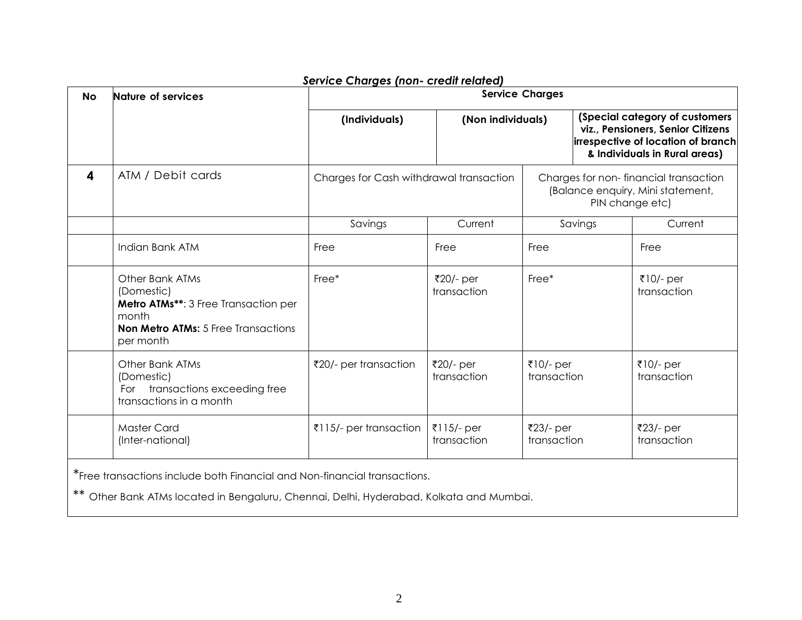| <b>No</b> | Nature of services                                                                                                                                                   | <b>Service Charges</b>                  |                           |                          |                 |                                                                                                                                            |
|-----------|----------------------------------------------------------------------------------------------------------------------------------------------------------------------|-----------------------------------------|---------------------------|--------------------------|-----------------|--------------------------------------------------------------------------------------------------------------------------------------------|
|           |                                                                                                                                                                      | (Individuals)                           | (Non individuals)         |                          |                 | (Special category of customers<br>viz., Pensioners, Senior Citizens<br>irrespective of location of branch<br>& Individuals in Rural areas) |
| 4         | ATM / Debit cards                                                                                                                                                    | Charges for Cash withdrawal transaction |                           |                          | PIN change etc) | Charges for non-financial transaction<br>(Balance enquiry, Mini statement,                                                                 |
|           |                                                                                                                                                                      | Savings                                 | Current                   |                          | Savings         | Current                                                                                                                                    |
|           | Indian Bank ATM                                                                                                                                                      | Free                                    | Free                      | Free                     |                 | Free                                                                                                                                       |
|           | <b>Other Bank ATMs</b><br>(Domestic)<br>Metro ATMs**: 3 Free Transaction per<br>month<br><b>Non Metro ATMs:</b> 5 Free Transactions<br>per month                     | Free*                                   | ₹20/- per<br>transaction  | Free*                    |                 | ₹10/- per<br>transaction                                                                                                                   |
|           | <b>Other Bank ATMs</b><br>(Domestic)<br>For transactions exceeding free<br>transactions in a month                                                                   | ₹20/- per transaction                   | ₹20/- per<br>transaction  | ₹10/- per<br>transaction |                 | ₹10/- per<br>transaction                                                                                                                   |
|           | <b>Master Card</b><br>(Inter-national)                                                                                                                               | ₹115/- per transaction                  | ₹115/- per<br>transaction | ₹23/- per<br>transaction |                 | ₹23/- per<br>transaction                                                                                                                   |
|           | *Free transactions include both Financial and Non-financial transactions.<br>** Other Bank ATMs located in Bengaluru, Chennai, Delhi, Hyderabad, Kolkata and Mumbai. |                                         |                           |                          |                 |                                                                                                                                            |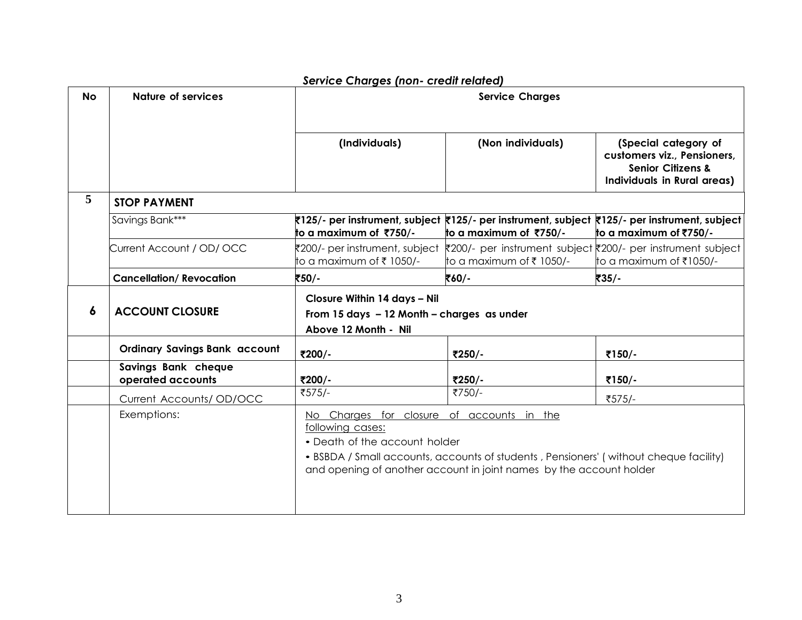| <b>No</b> | <b>Nature of services</b>                | <b>Service Charges</b>                                                                             |                                                                                                                                                              |                                                                                                                    |
|-----------|------------------------------------------|----------------------------------------------------------------------------------------------------|--------------------------------------------------------------------------------------------------------------------------------------------------------------|--------------------------------------------------------------------------------------------------------------------|
|           |                                          | (Individuals)                                                                                      | (Non individuals)                                                                                                                                            | (Special category of<br>customers viz., Pensioners,<br><b>Senior Citizens &amp;</b><br>Individuals in Rural areas) |
| 5         | <b>STOP PAYMENT</b>                      |                                                                                                    |                                                                                                                                                              |                                                                                                                    |
|           | Savings Bank***                          | to a maximum of ₹750/-                                                                             | ₹125/- per instrument, subject ₹125/- per instrument, subject ₹125/- per instrument, subject<br>to a maximum of ₹750/-                                       | to a maximum of ₹750/-                                                                                             |
|           | Current Account / OD/ OCC                | ₹200/- per instrument, subject<br>to a maximum of ₹ 1050/-                                         | ₹200/- per instrument subject ₹200/- per instrument subject<br>to a maximum of ₹ 1050/-                                                                      | to a maximum of ₹1050/-                                                                                            |
|           | <b>Cancellation/Revocation</b>           | ₹50∕-                                                                                              | そ60/-                                                                                                                                                        | ₹35/-                                                                                                              |
| 6         | <b>ACCOUNT CLOSURE</b>                   | Closure Within 14 days - Nil<br>From 15 days - 12 Month - charges as under<br>Above 12 Month - Nil |                                                                                                                                                              |                                                                                                                    |
|           | <b>Ordinary Savings Bank account</b>     | ₹200/-                                                                                             | ₹250/-                                                                                                                                                       | ₹150/-                                                                                                             |
|           | Savings Bank cheque<br>operated accounts | ₹200/-                                                                                             | ₹250/-                                                                                                                                                       | ₹150/-                                                                                                             |
|           | Current Accounts/OD/OCC                  | ₹575/-                                                                                             | ₹750/-                                                                                                                                                       | ₹575/-                                                                                                             |
|           | Exemptions:                              | No Charges for closure of accounts in the<br>following cases:<br>• Death of the account holder     | • BSBDA / Small accounts, accounts of students, Pensioners' (without cheque facility)<br>and opening of another account in joint names by the account holder |                                                                                                                    |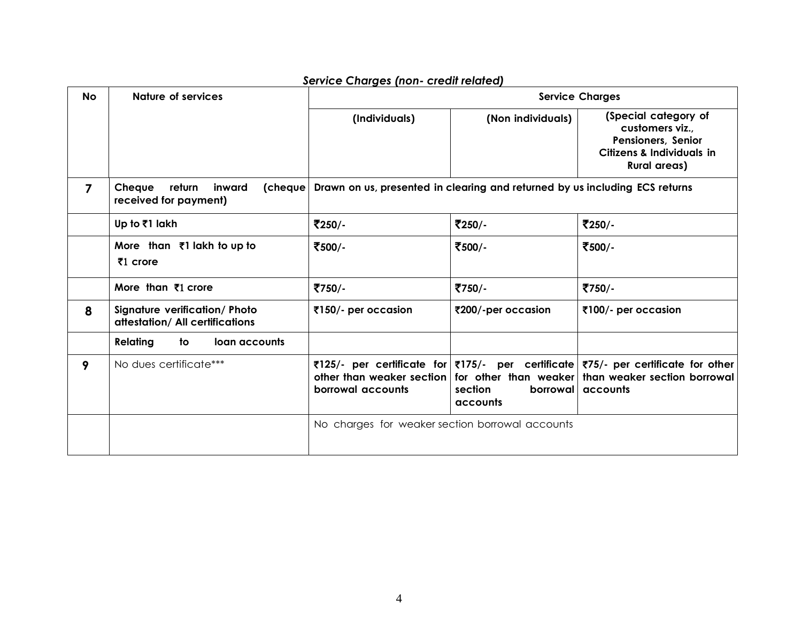| <b>No</b>      | Nature of services                                                      |                                                                             |                                 | <b>Service Charges</b>                                                                                                                                                            |
|----------------|-------------------------------------------------------------------------|-----------------------------------------------------------------------------|---------------------------------|-----------------------------------------------------------------------------------------------------------------------------------------------------------------------------------|
|                |                                                                         | (Individuals)                                                               | (Non individuals)               | (Special category of<br>customers viz.,<br>Pensioners, Senior<br><b>Citizens &amp; Individuals in</b><br><b>Rural areas)</b>                                                      |
| $\overline{7}$ | Cheque<br>return<br>inward<br>(cheque)<br>received for payment)         | Drawn on us, presented in clearing and returned by us including ECS returns |                                 |                                                                                                                                                                                   |
|                | Up to ₹1 lakh                                                           | ₹250/-                                                                      | ₹250/-                          | ₹250/-                                                                                                                                                                            |
|                | More than ₹1 lakh to up to<br>₹1 crore                                  | ₹500/-                                                                      | ₹500/-                          | ₹500/-                                                                                                                                                                            |
|                | More than $\bar{x}$ 1 crore                                             | ₹750/-                                                                      | ₹750/-                          | ₹750/-                                                                                                                                                                            |
| 8              | <b>Signature verification/ Photo</b><br>attestation/ All certifications | ₹150/- per occasion                                                         | ₹200/-per occasion              | ₹100/- per occasion                                                                                                                                                               |
|                | Relating<br>to<br>loan accounts                                         |                                                                             |                                 |                                                                                                                                                                                   |
| 9              | No dues certificate***                                                  | borrowal accounts                                                           | section<br>borrowal<br>accounts | ₹125/- per certificate for ₹175/- per certificate ₹75/- per certificate for other<br>other than weaker section   for other than weaker   than weaker section borrowal<br>accounts |
|                |                                                                         | No charges for weaker section borrowal accounts                             |                                 |                                                                                                                                                                                   |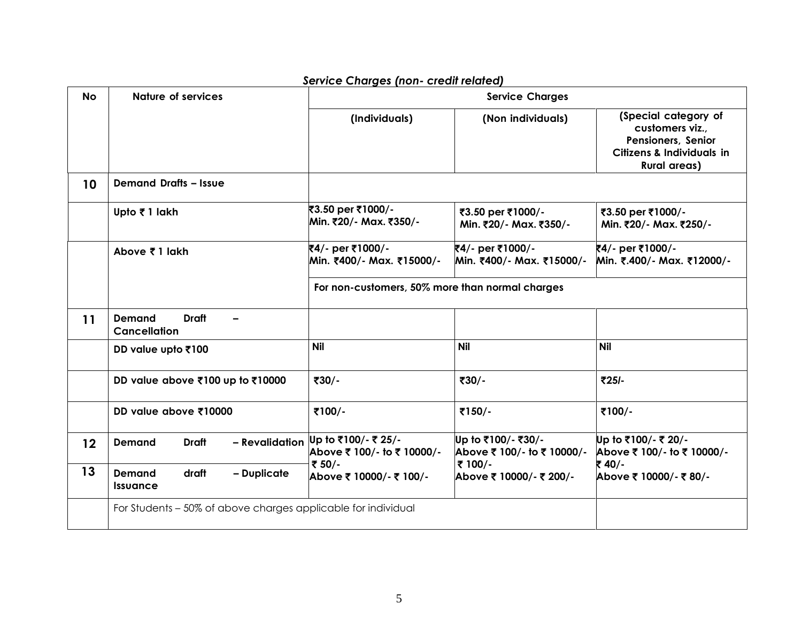| <b>No</b>         | <b>Nature of services</b>                                     | service Charges (non- creali related)<br><b>Service Charges</b> |                                                  |                                                                                                                              |  |
|-------------------|---------------------------------------------------------------|-----------------------------------------------------------------|--------------------------------------------------|------------------------------------------------------------------------------------------------------------------------------|--|
|                   |                                                               | (Individuals)                                                   | (Non individuals)                                | (Special category of<br>customers viz.,<br>Pensioners, Senior<br><b>Citizens &amp; Individuals in</b><br><b>Rural areas)</b> |  |
| 10                | <b>Demand Drafts - Issue</b>                                  |                                                                 |                                                  |                                                                                                                              |  |
|                   | Upto ₹1 lakh                                                  | ₹3.50 per ₹1000/-<br>Min. ₹20/- Max. ₹350/-                     | ₹3.50 per ₹1000/-<br>Min. ₹20/- Max. ₹350/-      | ₹3.50 per ₹1000/-<br>Min. ₹20/- Max. ₹250/-                                                                                  |  |
|                   | Above ₹1 lakh                                                 | ₹4/- per ₹1000/-<br>Min. ₹400/- Max. ₹15000/-                   | ₹4/- per ₹1000/-<br>Min. ₹400/- Max. ₹15000/-    | ₹4/- per ₹1000/-<br>Min. ₹.400/- Max. ₹12000/-                                                                               |  |
|                   |                                                               | For non-customers, 50% more than normal charges                 |                                                  |                                                                                                                              |  |
| 11                | <b>Draft</b><br><b>Demand</b><br>-<br><b>Cancellation</b>     |                                                                 |                                                  |                                                                                                                              |  |
|                   | DD value upto ₹100                                            | <b>Nil</b>                                                      | <b>Nil</b>                                       | <b>Nil</b>                                                                                                                   |  |
|                   | DD value above ₹100 up to ₹10000                              | ₹30/-                                                           | ₹30/-                                            | ₹25/-                                                                                                                        |  |
|                   | DD value above ₹10000                                         | ₹100/-                                                          | ₹150/-                                           | ₹100/-                                                                                                                       |  |
| $12 \overline{ }$ | - Revalidation<br><b>Draft</b><br><b>Demand</b>               | Up to ₹100/- ₹ 25/-<br>Above ₹ 100/- to ₹ 10000/-               | Up to ₹100/- ₹30/-<br>Above ₹ 100/- to ₹ 10000/- | Up to ₹100/- ₹ 20/-<br>Above ₹ 100/- to ₹ 10000/-                                                                            |  |
| 13                | <b>Demand</b><br>draft<br>- Duplicate<br>Issuance             | ₹ 50/-<br>Above ₹ 10000/- ₹ 100/-                               | ₹ 100/-<br>Above ₹ 10000/- ₹ 200/-               | ₹40/-<br>Above ₹ 10000/- ₹ 80/-                                                                                              |  |
|                   | For Students – 50% of above charges applicable for individual |                                                                 |                                                  |                                                                                                                              |  |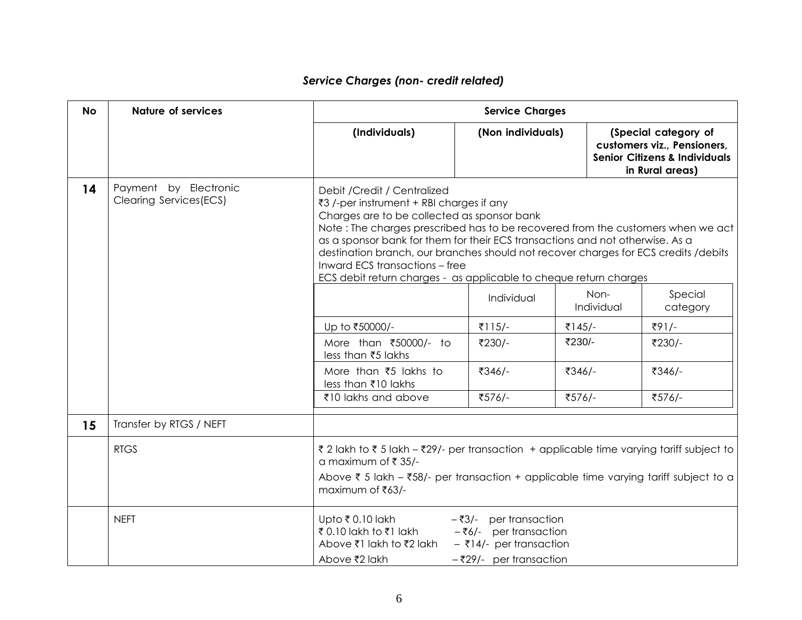| <b>No</b> | <b>Nature of services</b>                               | <b>Service Charges</b>                                                                                                                                                                                                                             |                                                                                                                                                                                                                                                                                                                               |        |                    |                                                                                                                    |
|-----------|---------------------------------------------------------|----------------------------------------------------------------------------------------------------------------------------------------------------------------------------------------------------------------------------------------------------|-------------------------------------------------------------------------------------------------------------------------------------------------------------------------------------------------------------------------------------------------------------------------------------------------------------------------------|--------|--------------------|--------------------------------------------------------------------------------------------------------------------|
|           |                                                         | (Individuals)                                                                                                                                                                                                                                      | (Non individuals)                                                                                                                                                                                                                                                                                                             |        |                    | (Special category of<br>customers viz., Pensioners,<br><b>Senior Citizens &amp; Individuals</b><br>in Rural areas) |
| 14        | Payment by Electronic<br><b>Clearing Services (ECS)</b> | Debit / Credit / Centralized<br>₹3 /-per instrument + RBI charges if any<br>Charges are to be collected as sponsor bank<br>Inward ECS transactions - free                                                                                          | Note: The charges prescribed has to be recovered from the customers when we act<br>as a sponsor bank for them for their ECS transactions and not otherwise. As a<br>destination branch, our branches should not recover charges for ECS credits / debits<br>ECS debit return charges - as applicable to cheque return charges |        |                    |                                                                                                                    |
|           |                                                         |                                                                                                                                                                                                                                                    | Individual                                                                                                                                                                                                                                                                                                                    |        | Non-<br>Individual | Special<br>category                                                                                                |
|           |                                                         | Up to ₹50000/-                                                                                                                                                                                                                                     | ₹115/-                                                                                                                                                                                                                                                                                                                        | ₹145/- |                    | ₹91/-                                                                                                              |
|           |                                                         | More than ₹50000/- to<br>less than ₹5 lakhs                                                                                                                                                                                                        | ₹230/-                                                                                                                                                                                                                                                                                                                        | ₹230/- |                    | ₹230/-                                                                                                             |
|           |                                                         | More than ₹5 lakhs to<br>less than ₹10 lakhs                                                                                                                                                                                                       | ₹346/-                                                                                                                                                                                                                                                                                                                        | ₹346/- |                    | ₹346/-                                                                                                             |
|           |                                                         | ₹10 lakhs and above                                                                                                                                                                                                                                | ₹576/-                                                                                                                                                                                                                                                                                                                        | ₹576/- |                    | ₹576/-                                                                                                             |
| 15        | Transfer by RTGS / NEFT                                 |                                                                                                                                                                                                                                                    |                                                                                                                                                                                                                                                                                                                               |        |                    |                                                                                                                    |
|           | <b>RTGS</b>                                             | ₹ 2 lakh to ₹ 5 lakh - ₹29/- per transaction + applicable time varying tariff subject to<br>a maximum of ₹ 35/-<br>Above $\bar{\tau}$ 5 lakh – $\bar{\tau}$ 58/- per transaction + applicable time varying tariff subject to a<br>maximum of ₹63/- |                                                                                                                                                                                                                                                                                                                               |        |                    |                                                                                                                    |
|           | <b>NEFT</b>                                             | Upto ₹ 0.10 lakh<br>₹0.10 lakh to ₹1 lakh<br>Above ₹1 lakh to ₹2 lakh<br>Above ₹2 lakh                                                                                                                                                             | $-\overline{3}/-$ per transaction<br>$-\overline{56/-}$ per transaction<br>$-$ ₹14/- per transaction<br>$-\overline{329}/-$ per transaction                                                                                                                                                                                   |        |                    |                                                                                                                    |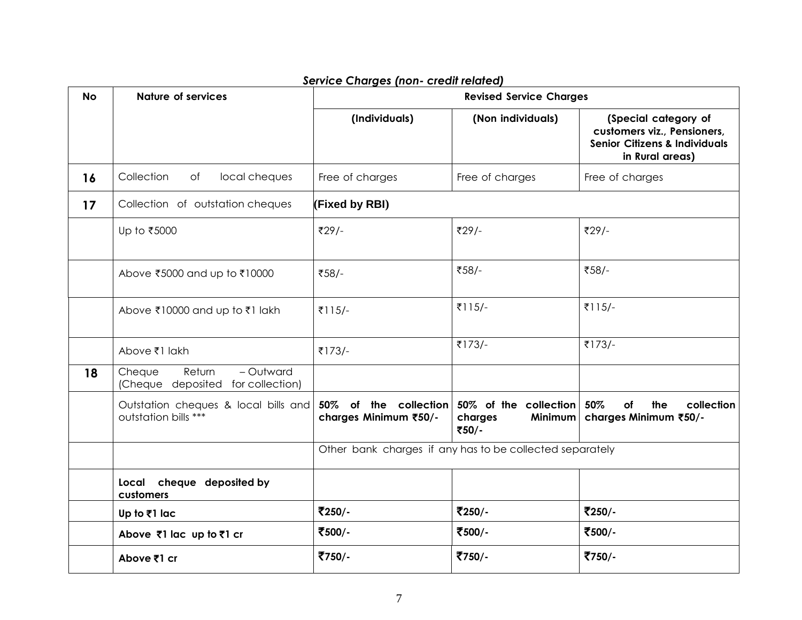| <b>No</b> | <b>Nature of services</b>                                          |                                                          | <b>Revised Service Charges</b>                       |                                                                                                                    |
|-----------|--------------------------------------------------------------------|----------------------------------------------------------|------------------------------------------------------|--------------------------------------------------------------------------------------------------------------------|
|           |                                                                    | (Individuals)                                            | (Non individuals)                                    | (Special category of<br>customers viz., Pensioners,<br><b>Senior Citizens &amp; Individuals</b><br>in Rural areas) |
| 16        | Collection<br>of<br>local cheques                                  | Free of charges                                          | Free of charges                                      | Free of charges                                                                                                    |
| 17        | Collection of outstation cheques                                   | (Fixed by RBI)                                           |                                                      |                                                                                                                    |
|           | Up to ₹5000                                                        | ₹29/-                                                    | ₹29/-                                                | ₹29/-                                                                                                              |
|           | Above ₹5000 and up to ₹10000                                       | ₹58/-                                                    | ₹58/-                                                | ₹58/-                                                                                                              |
|           | Above ₹10000 and up to ₹1 lakh                                     | ₹115/-                                                   | ₹115/-                                               | ₹115/-                                                                                                             |
|           | Above ₹1 lakh                                                      | ₹173/-                                                   | ₹173/-                                               | ₹173/-                                                                                                             |
| 18        | - Outward<br>Cheque<br>Return<br>(Cheque deposited for collection) |                                                          |                                                      |                                                                                                                    |
|           | Outstation cheques & local bills and<br>outstation bills ***       | 50% of the collection<br>charges Minimum ₹50/-           | 50% of the collection<br>charges<br>Minimum<br>₹50/- | 50%<br>of<br>the<br>collection<br>charges Minimum ₹50/-                                                            |
|           |                                                                    | Other bank charges if any has to be collected separately |                                                      |                                                                                                                    |
|           | Local cheque deposited by<br>customers                             |                                                          |                                                      |                                                                                                                    |
|           | Up to ₹1 lac                                                       | ₹250/-                                                   | ₹250/-                                               | ₹250/-                                                                                                             |
|           | Above ₹1 lac up to ₹1 cr                                           | ₹500/-                                                   | ₹500/-                                               | ₹500/-                                                                                                             |
|           | Above ₹1 cr                                                        | ₹750/-                                                   | ₹750/-                                               | ₹750/-                                                                                                             |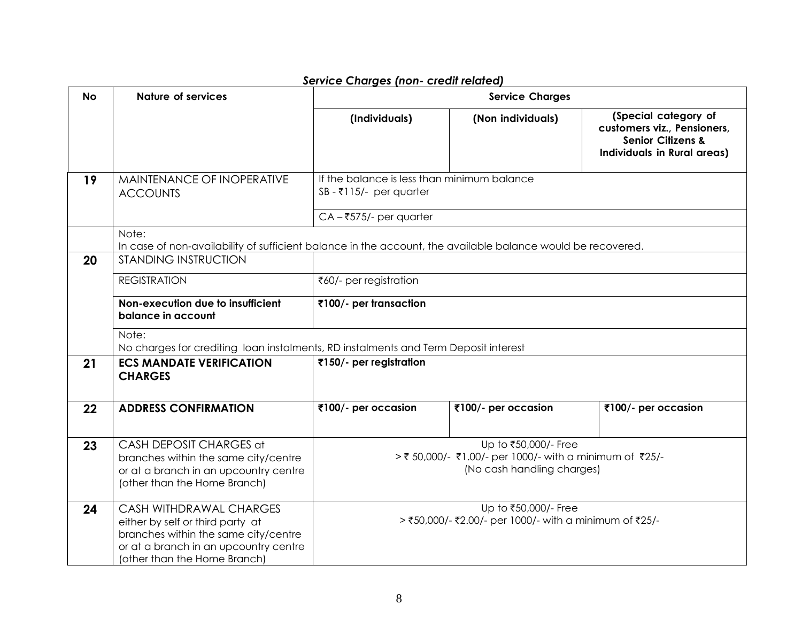| <b>No</b> | <b>Nature of services</b>                                                                                                                                                           | service charges (non- cream related)                                                                        | <b>Service Charges</b>                                                                                        |                                                                                                                           |  |
|-----------|-------------------------------------------------------------------------------------------------------------------------------------------------------------------------------------|-------------------------------------------------------------------------------------------------------------|---------------------------------------------------------------------------------------------------------------|---------------------------------------------------------------------------------------------------------------------------|--|
|           |                                                                                                                                                                                     | (Individuals)                                                                                               | (Non individuals)                                                                                             | (Special category of<br>customers viz., Pensioners,<br><b>Senior Citizens &amp;</b><br><b>Individuals in Rural areas)</b> |  |
| 19        | MAINTENANCE OF INOPERATIVE<br><b>ACCOUNTS</b>                                                                                                                                       | If the balance is less than minimum balance<br>$SB - ₹115/-$ per quarter                                    |                                                                                                               |                                                                                                                           |  |
|           | Note:                                                                                                                                                                               | $CA - ₹575/-$ per quarter                                                                                   |                                                                                                               |                                                                                                                           |  |
|           |                                                                                                                                                                                     | In case of non-availability of sufficient balance in the account, the available balance would be recovered. |                                                                                                               |                                                                                                                           |  |
| 20        | <b>STANDING INSTRUCTION</b>                                                                                                                                                         |                                                                                                             |                                                                                                               |                                                                                                                           |  |
|           | <b>REGISTRATION</b>                                                                                                                                                                 | ₹60/- per registration                                                                                      |                                                                                                               |                                                                                                                           |  |
|           | Non-execution due to insufficient<br>balance in account                                                                                                                             | ₹100/- per transaction                                                                                      |                                                                                                               |                                                                                                                           |  |
|           | Note:<br>No charges for crediting loan instalments, RD instalments and Term Deposit interest                                                                                        |                                                                                                             |                                                                                                               |                                                                                                                           |  |
| 21        | <b>ECS MANDATE VERIFICATION</b><br><b>CHARGES</b>                                                                                                                                   | ₹150/- per registration                                                                                     |                                                                                                               |                                                                                                                           |  |
| 22        | <b>ADDRESS CONFIRMATION</b>                                                                                                                                                         | ₹100/- per occasion                                                                                         | ₹100/- per occasion                                                                                           | ₹100/- per occasion                                                                                                       |  |
| 23        | CASH DEPOSIT CHARGES at<br>branches within the same city/centre<br>or at a branch in an upcountry centre<br>(other than the Home Branch)                                            |                                                                                                             | Up to ₹50,000/- Free<br>> ₹ 50,000/- ₹1.00/- per 1000/- with a minimum of ₹25/-<br>(No cash handling charges) |                                                                                                                           |  |
| 24        | <b>CASH WITHDRAWAL CHARGES</b><br>either by self or third party at<br>branches within the same city/centre<br>or at a branch in an upcountry centre<br>(other than the Home Branch) |                                                                                                             | Up to ₹50,000/- Free<br>> ₹50,000/- ₹2.00/- per 1000/- with a minimum of ₹25/-                                |                                                                                                                           |  |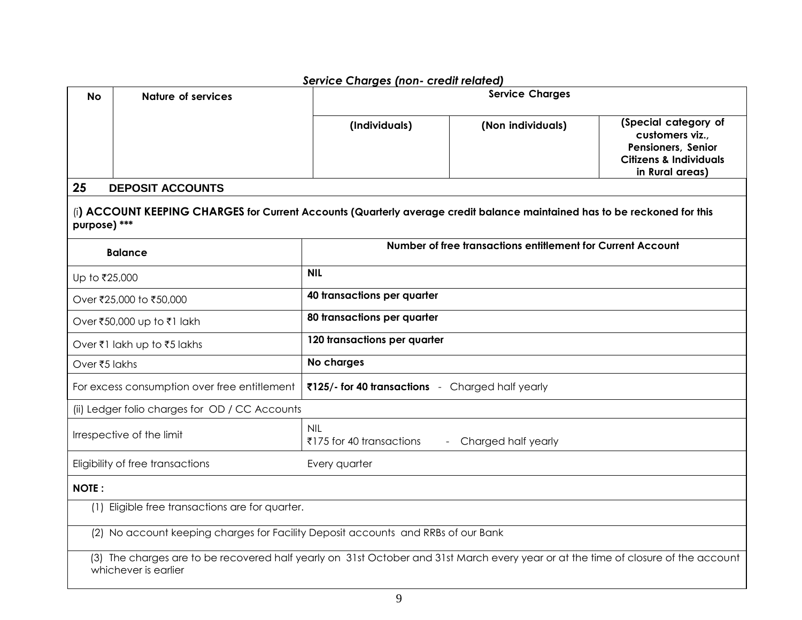|                                                                                   |                                                                                                                                                            | service Charges (non- cream related)                          |                                                             |                                                                                                                       |
|-----------------------------------------------------------------------------------|------------------------------------------------------------------------------------------------------------------------------------------------------------|---------------------------------------------------------------|-------------------------------------------------------------|-----------------------------------------------------------------------------------------------------------------------|
| <b>No</b>                                                                         | <b>Nature of services</b>                                                                                                                                  | <b>Service Charges</b>                                        |                                                             |                                                                                                                       |
|                                                                                   |                                                                                                                                                            | (Individuals)                                                 | (Non individuals)                                           | (Special category of<br>customers viz.,<br>Pensioners, Senior<br><b>Citizens &amp; Individuals</b><br>in Rural areas) |
| 25                                                                                | <b>DEPOSIT ACCOUNTS</b>                                                                                                                                    |                                                               |                                                             |                                                                                                                       |
| purpose) ***                                                                      | (i) ACCOUNT KEEPING CHARGES for Current Accounts (Quarterly average credit balance maintained has to be reckoned for this                                  |                                                               |                                                             |                                                                                                                       |
|                                                                                   | <b>Balance</b>                                                                                                                                             |                                                               | Number of free transactions entitlement for Current Account |                                                                                                                       |
| Up to ₹25,000                                                                     |                                                                                                                                                            | <b>NIL</b>                                                    |                                                             |                                                                                                                       |
|                                                                                   | Over ₹25,000 to ₹50,000                                                                                                                                    | 40 transactions per quarter                                   |                                                             |                                                                                                                       |
|                                                                                   | Over ₹50,000 up to ₹1 lakh                                                                                                                                 | 80 transactions per quarter                                   |                                                             |                                                                                                                       |
|                                                                                   | Over ₹1 lakh up to ₹5 lakhs                                                                                                                                | 120 transactions per quarter                                  |                                                             |                                                                                                                       |
| Over ₹5 lakhs                                                                     |                                                                                                                                                            | No charges                                                    |                                                             |                                                                                                                       |
|                                                                                   | For excess consumption over free entitlement                                                                                                               | ₹125/- for 40 transactions - Charged half yearly              |                                                             |                                                                                                                       |
|                                                                                   | (ii) Ledger folio charges for OD / CC Accounts                                                                                                             |                                                               |                                                             |                                                                                                                       |
|                                                                                   | Irrespective of the limit                                                                                                                                  | <b>NIL</b><br>₹175 for 40 transactions<br>Charged half yearly |                                                             |                                                                                                                       |
|                                                                                   | Eligibility of free transactions                                                                                                                           | Every quarter                                                 |                                                             |                                                                                                                       |
| <b>NOTE:</b>                                                                      |                                                                                                                                                            |                                                               |                                                             |                                                                                                                       |
|                                                                                   | (1) Eligible free transactions are for quarter.                                                                                                            |                                                               |                                                             |                                                                                                                       |
| (2) No account keeping charges for Facility Deposit accounts and RRBs of our Bank |                                                                                                                                                            |                                                               |                                                             |                                                                                                                       |
|                                                                                   | (3) The charges are to be recovered half yearly on 31st October and 31st March every year or at the time of closure of the account<br>whichever is earlier |                                                               |                                                             |                                                                                                                       |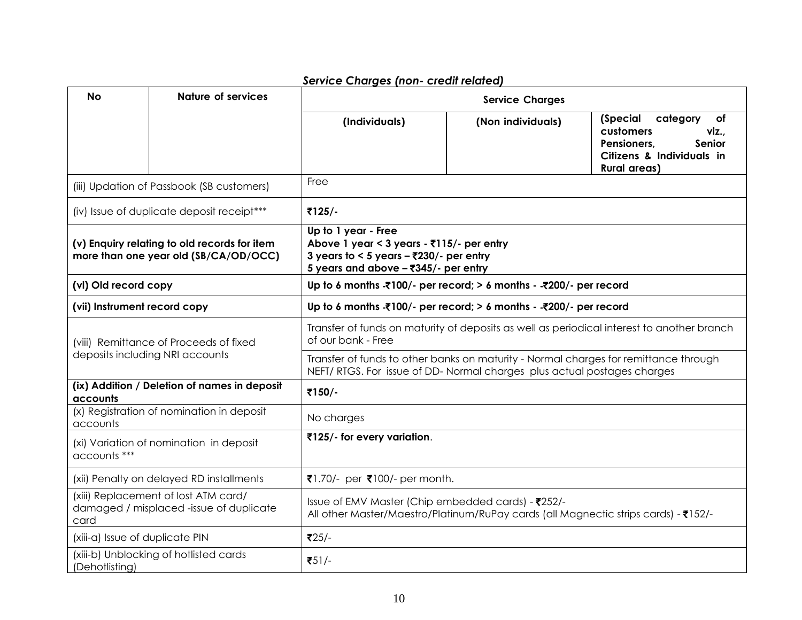| <b>No</b>                                                                             | <b>Nature of services</b>                                                       | <b>Service Charges</b>                                                                                                                                                       |                   |                                                                                                                               |  |
|---------------------------------------------------------------------------------------|---------------------------------------------------------------------------------|------------------------------------------------------------------------------------------------------------------------------------------------------------------------------|-------------------|-------------------------------------------------------------------------------------------------------------------------------|--|
|                                                                                       |                                                                                 | (Individuals)                                                                                                                                                                | (Non individuals) | (Special<br>category<br>of<br>customers<br>viz.,<br>Pensioners.<br>Senior<br>Citizens & Individuals in<br><b>Rural areas)</b> |  |
|                                                                                       | (iii) Updation of Passbook (SB customers)                                       | Free                                                                                                                                                                         |                   |                                                                                                                               |  |
|                                                                                       | (iv) Issue of duplicate deposit receipt***                                      | ₹125/-                                                                                                                                                                       |                   |                                                                                                                               |  |
| (v) Enquiry relating to old records for item<br>more than one year old (SB/CA/OD/OCC) |                                                                                 | Up to 1 year - Free<br>Above 1 year < 3 years - $\overline{3}115/-$ per entry<br>3 years to < 5 years $-\overline{2}230/-$ per entry<br>5 years and above - ₹345/- per entry |                   |                                                                                                                               |  |
| (vi) Old record copy                                                                  |                                                                                 | Up to 6 months $\overline{\mathcal{K}}$ 100/- per record; > 6 months - $\overline{\mathcal{K}}$ 200/- per record                                                             |                   |                                                                                                                               |  |
| (vii) Instrument record copy                                                          |                                                                                 | Up to 6 months - 100/- per record; > 6 months - - $200/-$ per record                                                                                                         |                   |                                                                                                                               |  |
| (viii) Remittance of Proceeds of fixed                                                |                                                                                 | Transfer of funds on maturity of deposits as well as periodical interest to another branch<br>of our bank - Free                                                             |                   |                                                                                                                               |  |
|                                                                                       | deposits including NRI accounts                                                 | Transfer of funds to other banks on maturity - Normal charges for remittance through<br>NEFT/RTGS. For issue of DD-Normal charges plus actual postages charges               |                   |                                                                                                                               |  |
| accounts                                                                              | (ix) Addition / Deletion of names in deposit                                    | ₹150/-                                                                                                                                                                       |                   |                                                                                                                               |  |
| accounts                                                                              | (x) Registration of nomination in deposit                                       | No charges                                                                                                                                                                   |                   |                                                                                                                               |  |
| accounts ***                                                                          | (xi) Variation of nomination in deposit                                         | ₹125/- for every variation.                                                                                                                                                  |                   |                                                                                                                               |  |
|                                                                                       | (xii) Penalty on delayed RD installments                                        | ₹1.70/- per ₹100/- per month.                                                                                                                                                |                   |                                                                                                                               |  |
| card                                                                                  | (xiii) Replacement of lost ATM card/<br>damaged / misplaced -issue of duplicate | Issue of EMV Master (Chip embedded cards) - ₹252/-<br>All other Master/Maestro/Platinum/RuPay cards (all Magnectic strips cards) - ₹152/-                                    |                   |                                                                                                                               |  |
| (xiii-a) Issue of duplicate PIN                                                       |                                                                                 | $725/-$                                                                                                                                                                      |                   |                                                                                                                               |  |
| (Dehotlisting)                                                                        | (xiii-b) Unblocking of hotlisted cards                                          | $751/-$                                                                                                                                                                      |                   |                                                                                                                               |  |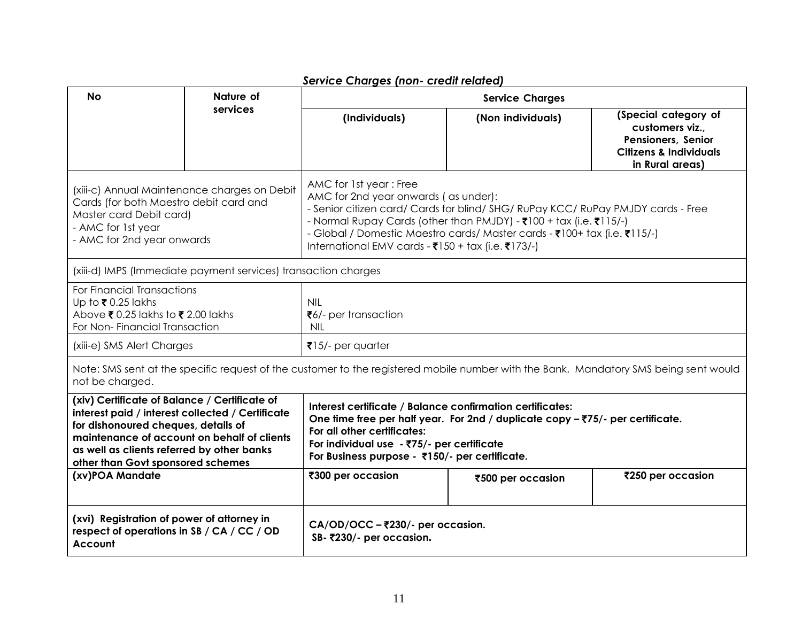|                                                                                                                                                                                                                                                                            |                                              | service charges (non- cream related)                                                                                                                                                                                                                                                                                                                                                        |                        |                                                                                                                       |
|----------------------------------------------------------------------------------------------------------------------------------------------------------------------------------------------------------------------------------------------------------------------------|----------------------------------------------|---------------------------------------------------------------------------------------------------------------------------------------------------------------------------------------------------------------------------------------------------------------------------------------------------------------------------------------------------------------------------------------------|------------------------|-----------------------------------------------------------------------------------------------------------------------|
| <b>No</b>                                                                                                                                                                                                                                                                  | Nature of                                    |                                                                                                                                                                                                                                                                                                                                                                                             | <b>Service Charges</b> |                                                                                                                       |
|                                                                                                                                                                                                                                                                            | services                                     | (Individuals)                                                                                                                                                                                                                                                                                                                                                                               | (Non individuals)      | (Special category of<br>customers viz.,<br>Pensioners, Senior<br><b>Citizens &amp; Individuals</b><br>in Rural areas) |
| Cards (for both Maestro debit card and<br>Master card Debit card)<br>- AMC for 1st year<br>- AMC for 2nd year onwards                                                                                                                                                      | (xiii-c) Annual Maintenance charges on Debit | AMC for 1st year: Free<br>AMC for 2nd year onwards (as under):<br>- Senior citizen card/ Cards for blind/ SHG/ RuPay KCC/ RuPay PMJDY cards - Free<br>- Normal Rupay Cards (other than PMJDY) - ₹100 + tax (i.e. ₹115/-)<br>- Global / Domestic Maestro cards/ Master cards - ₹100+ tax (i.e. ₹115/-)<br>International EMV cards - $\overline{3}150 + \text{tax (i.e. } \overline{3}173/-)$ |                        |                                                                                                                       |
| (xiii-d) IMPS (Immediate payment services) transaction charges                                                                                                                                                                                                             |                                              |                                                                                                                                                                                                                                                                                                                                                                                             |                        |                                                                                                                       |
| For Financial Transactions<br>Up to ₹0.25 lakhs<br>Above $\overline{\mathbf{x}}$ 0.25 lakhs to $\overline{\mathbf{x}}$ 2.00 lakhs<br>For Non-Financial Transaction                                                                                                         |                                              | <b>NIL</b><br>₹6/- per transaction<br><b>NIL</b>                                                                                                                                                                                                                                                                                                                                            |                        |                                                                                                                       |
| (xiii-e) SMS Alert Charges                                                                                                                                                                                                                                                 |                                              | $\overline{8}$ 15/- per quarter                                                                                                                                                                                                                                                                                                                                                             |                        |                                                                                                                       |
| not be charged.                                                                                                                                                                                                                                                            |                                              | Note: SMS sent at the specific request of the customer to the registered mobile number with the Bank. Mandatory SMS being sent would                                                                                                                                                                                                                                                        |                        |                                                                                                                       |
| (xiv) Certificate of Balance / Certificate of<br>interest paid / interest collected / Certificate<br>for dishonoured cheques, details of<br>maintenance of account on behalf of clients<br>as well as clients referred by other banks<br>other than Govt sponsored schemes |                                              | Interest certificate / Balance confirmation certificates:<br>One time free per half year. For 2nd / duplicate copy - ₹75/- per certificate.<br>For all other certificates:<br>For individual use - ₹75/- per certificate<br>For Business purpose - ₹150/- per certificate.                                                                                                                  |                        |                                                                                                                       |
| (xv)POA Mandate                                                                                                                                                                                                                                                            |                                              | ₹300 per occasion<br>₹250 per occasion<br>₹500 per occasion                                                                                                                                                                                                                                                                                                                                 |                        |                                                                                                                       |
| (xvi) Registration of power of attorney in<br>respect of operations in SB / CA / CC / OD<br>Account                                                                                                                                                                        |                                              | CA/OD/OCC - ₹230/- per occasion.<br>SB-₹230/- per occasion.                                                                                                                                                                                                                                                                                                                                 |                        |                                                                                                                       |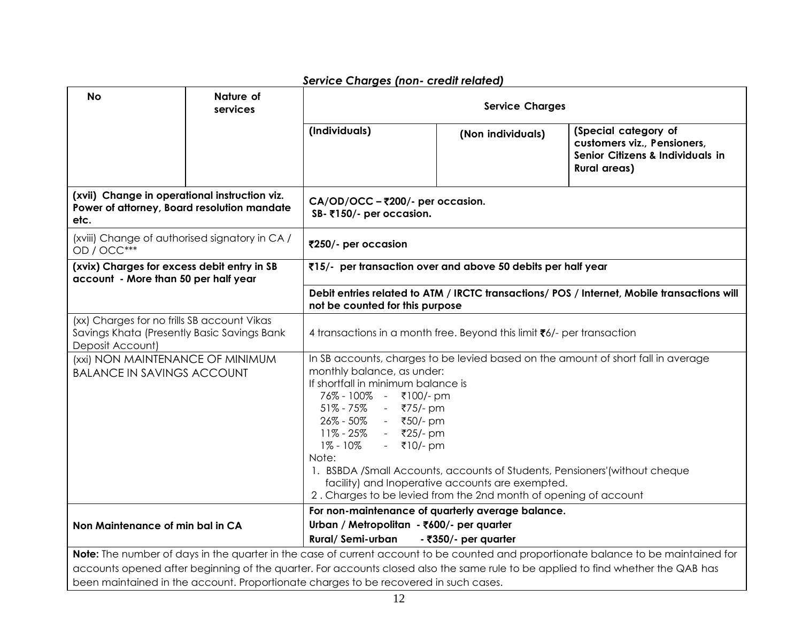| <b>No</b>                                                                                                                                                                                                                                                                                                                                                       | Nature of<br>services | <b>Service Charges</b>                                                                                                                                                                                                                                                                                                                                                                                                                                                                                                   |                   |                                                                                                                |  |
|-----------------------------------------------------------------------------------------------------------------------------------------------------------------------------------------------------------------------------------------------------------------------------------------------------------------------------------------------------------------|-----------------------|--------------------------------------------------------------------------------------------------------------------------------------------------------------------------------------------------------------------------------------------------------------------------------------------------------------------------------------------------------------------------------------------------------------------------------------------------------------------------------------------------------------------------|-------------------|----------------------------------------------------------------------------------------------------------------|--|
|                                                                                                                                                                                                                                                                                                                                                                 |                       | (Individuals)                                                                                                                                                                                                                                                                                                                                                                                                                                                                                                            | (Non individuals) | (Special category of<br>customers viz., Pensioners,<br>Senior Citizens & Individuals in<br><b>Rural areas)</b> |  |
| (xvii) Change in operational instruction viz.<br>Power of attorney, Board resolution mandate<br>etc.                                                                                                                                                                                                                                                            |                       | CA/OD/OCC - ₹200/- per occasion.<br>SB-₹150/- per occasion.                                                                                                                                                                                                                                                                                                                                                                                                                                                              |                   |                                                                                                                |  |
| (xviii) Change of authorised signatory in CA /<br>₹250/- per occasion<br>OD / OCC***                                                                                                                                                                                                                                                                            |                       |                                                                                                                                                                                                                                                                                                                                                                                                                                                                                                                          |                   |                                                                                                                |  |
| (xvix) Charges for excess debit entry in SB<br>₹15/- per transaction over and above 50 debits per half year<br>account - More than 50 per half year                                                                                                                                                                                                             |                       |                                                                                                                                                                                                                                                                                                                                                                                                                                                                                                                          |                   |                                                                                                                |  |
|                                                                                                                                                                                                                                                                                                                                                                 |                       | not be counted for this purpose                                                                                                                                                                                                                                                                                                                                                                                                                                                                                          |                   | Debit entries related to ATM / IRCTC transactions/ POS / Internet, Mobile transactions will                    |  |
| (xx) Charges for no frills SB account Vikas<br>Savings Khata (Presently Basic Savings Bank<br>Deposit Account)                                                                                                                                                                                                                                                  |                       | 4 transactions in a month free. Beyond this limit ₹6/- per transaction                                                                                                                                                                                                                                                                                                                                                                                                                                                   |                   |                                                                                                                |  |
| (xxi) NON MAINTENANCE OF MINIMUM<br><b>BALANCE IN SAVINGS ACCOUNT</b>                                                                                                                                                                                                                                                                                           |                       | In SB accounts, charges to be levied based on the amount of short fall in average<br>monthly balance, as under:<br>If shortfall in minimum balance is<br>76% - 100% - ₹100/-pm<br>$51\% - 75\%$<br>₹75/- pm<br>$\sim 100$<br>26% - 50%<br>- ₹50/-pm<br>11% - 25%<br>- ₹25/- pm<br>1% - 10%<br>- ₹10/- pm<br>Note:<br>1. BSBDA /Small Accounts, accounts of Students, Pensioners' (without cheque<br>facility) and Inoperative accounts are exempted.<br>2. Charges to be levied from the 2nd month of opening of account |                   |                                                                                                                |  |
| Non Maintenance of min bal in CA                                                                                                                                                                                                                                                                                                                                |                       | For non-maintenance of quarterly average balance.<br>Urban / Metropolitan - ₹600/- per quarter<br>Rural/Semi-urban<br>- ₹350/- per quarter                                                                                                                                                                                                                                                                                                                                                                               |                   |                                                                                                                |  |
| Note: The number of days in the quarter in the case of current account to be counted and proportionate balance to be maintained for<br>accounts opened after beginning of the quarter. For accounts closed also the same rule to be applied to find whether the QAB has<br>been maintained in the account. Proportionate charges to be recovered in such cases. |                       |                                                                                                                                                                                                                                                                                                                                                                                                                                                                                                                          |                   |                                                                                                                |  |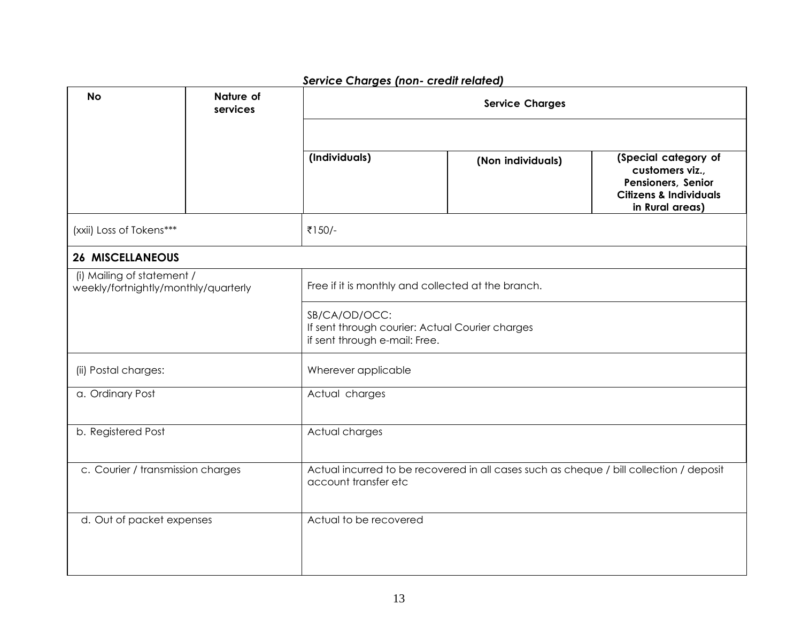| <b>Service Charges (non- credit related)</b>                       |                       |                                                                                                                 |                   |                                                                                                                       |  |  |
|--------------------------------------------------------------------|-----------------------|-----------------------------------------------------------------------------------------------------------------|-------------------|-----------------------------------------------------------------------------------------------------------------------|--|--|
| <b>No</b>                                                          | Nature of<br>services |                                                                                                                 |                   |                                                                                                                       |  |  |
|                                                                    |                       |                                                                                                                 |                   |                                                                                                                       |  |  |
|                                                                    |                       | (Individuals)                                                                                                   | (Non individuals) | (Special category of<br>customers viz.,<br>Pensioners, Senior<br><b>Citizens &amp; Individuals</b><br>in Rural areas) |  |  |
| (xxii) Loss of Tokens***                                           |                       | ₹150/-                                                                                                          |                   |                                                                                                                       |  |  |
| <b>26 MISCELLANEOUS</b>                                            |                       |                                                                                                                 |                   |                                                                                                                       |  |  |
| (i) Mailing of statement /<br>weekly/fortnightly/monthly/quarterly |                       | Free if it is monthly and collected at the branch.                                                              |                   |                                                                                                                       |  |  |
|                                                                    |                       | SB/CA/OD/OCC:<br>If sent through courier: Actual Courier charges<br>if sent through e-mail: Free.               |                   |                                                                                                                       |  |  |
| (ii) Postal charges:                                               |                       | Wherever applicable                                                                                             |                   |                                                                                                                       |  |  |
| a. Ordinary Post                                                   |                       | Actual charges                                                                                                  |                   |                                                                                                                       |  |  |
| b. Registered Post                                                 |                       | Actual charges                                                                                                  |                   |                                                                                                                       |  |  |
| c. Courier / transmission charges                                  |                       | Actual incurred to be recovered in all cases such as cheque / bill collection / deposit<br>account transfer etc |                   |                                                                                                                       |  |  |
| d. Out of packet expenses                                          |                       | Actual to be recovered                                                                                          |                   |                                                                                                                       |  |  |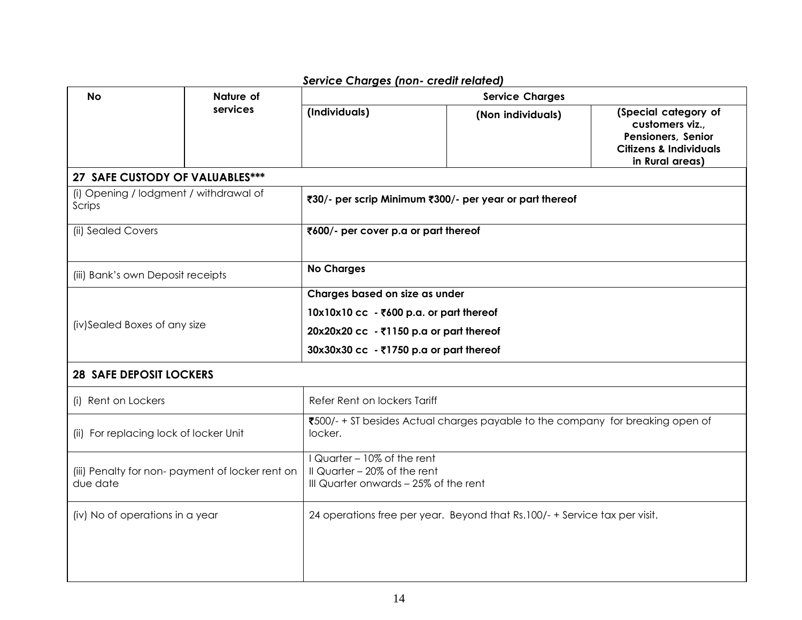| <b>No</b>                                                    | Nature of | service Charges (non- crean related<br><b>Service Charges</b>                                                                                                   |                   |                                                                                                                       |  |
|--------------------------------------------------------------|-----------|-----------------------------------------------------------------------------------------------------------------------------------------------------------------|-------------------|-----------------------------------------------------------------------------------------------------------------------|--|
|                                                              | services  | (Individuals)                                                                                                                                                   | (Non individuals) | (Special category of<br>customers viz.,<br>Pensioners, Senior<br><b>Citizens &amp; Individuals</b><br>in Rural areas) |  |
| 27 SAFE CUSTODY OF VALUABLES***                              |           |                                                                                                                                                                 |                   |                                                                                                                       |  |
| (i) Opening / lodgment / withdrawal of<br>Scrips             |           | ₹30/- per scrip Minimum ₹300/- per year or part thereof                                                                                                         |                   |                                                                                                                       |  |
| (ii) Sealed Covers                                           |           | ₹600/- per cover p.a or part thereof                                                                                                                            |                   |                                                                                                                       |  |
| (iii) Bank's own Deposit receipts                            |           | <b>No Charges</b>                                                                                                                                               |                   |                                                                                                                       |  |
| (iv)Sealed Boxes of any size                                 |           | Charges based on size as under<br>10x10x10 cc - ₹600 p.a. or part thereof<br>20x20x20 cc - ₹1150 p.a or part thereof<br>30x30x30 cc - ₹1750 p.a or part thereof |                   |                                                                                                                       |  |
| <b>28 SAFE DEPOSIT LOCKERS</b>                               |           |                                                                                                                                                                 |                   |                                                                                                                       |  |
| (i) Rent on Lockers                                          |           | Refer Rent on lockers Tariff                                                                                                                                    |                   |                                                                                                                       |  |
| (ii) For replacing lock of locker Unit                       |           | ₹500/- + ST besides Actual charges payable to the company for breaking open of<br>locker.                                                                       |                   |                                                                                                                       |  |
| (iii) Penalty for non- payment of locker rent on<br>due date |           | I Quarter - 10% of the rent<br>II Quarter - 20% of the rent<br>III Quarter onwards - 25% of the rent                                                            |                   |                                                                                                                       |  |
| (iv) No of operations in a year                              |           | 24 operations free per year. Beyond that Rs.100/- + Service tax per visit.                                                                                      |                   |                                                                                                                       |  |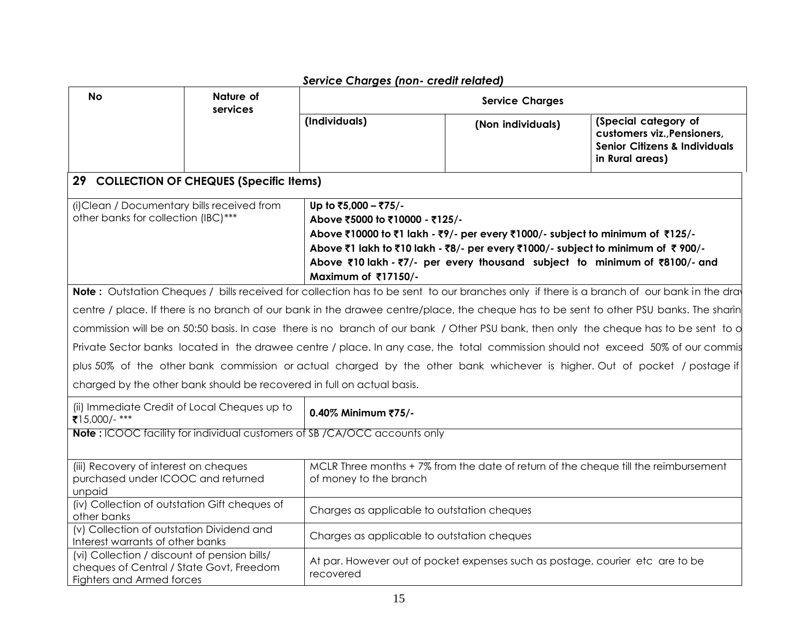|                                                                                                                              |                                                                                                                              | service charges (non- creamedica)                                                                                                                                                                                                                                                                                               |                                                                                    |                                                                                                                                           |  |
|------------------------------------------------------------------------------------------------------------------------------|------------------------------------------------------------------------------------------------------------------------------|---------------------------------------------------------------------------------------------------------------------------------------------------------------------------------------------------------------------------------------------------------------------------------------------------------------------------------|------------------------------------------------------------------------------------|-------------------------------------------------------------------------------------------------------------------------------------------|--|
| <b>No</b>                                                                                                                    | Nature of<br>services                                                                                                        | <b>Service Charges</b>                                                                                                                                                                                                                                                                                                          |                                                                                    |                                                                                                                                           |  |
|                                                                                                                              |                                                                                                                              | (Individuals)                                                                                                                                                                                                                                                                                                                   | (Non individuals)                                                                  | (Special category of<br>customers viz., Pensioners,<br><b>Senior Citizens &amp; Individuals</b><br>in Rural areas)                        |  |
|                                                                                                                              | 29 COLLECTION OF CHEQUES (Specific Items)                                                                                    |                                                                                                                                                                                                                                                                                                                                 |                                                                                    |                                                                                                                                           |  |
| (i)Clean / Documentary bills received from<br>other banks for collection (IBC)***                                            |                                                                                                                              | Up to ₹5,000 - ₹75/-<br>Above ₹5000 to ₹10000 - ₹125/-<br>Above ₹10000 to ₹1 lakh - ₹9/- per every ₹1000/- subject to minimum of ₹125/-<br>Above ₹1 lakh to ₹10 lakh - ₹8/- per every ₹1000/- subject to minimum of ₹900/-<br>Above ₹10 lakh - ₹7/- per every thousand subject to minimum of ₹8100/- and<br>Maximum of ₹17150/- |                                                                                    |                                                                                                                                           |  |
|                                                                                                                              |                                                                                                                              |                                                                                                                                                                                                                                                                                                                                 |                                                                                    | Note: Outstation Cheques / bills received for collection has to be sent to our branches only if there is a branch of our bank in the dray |  |
|                                                                                                                              |                                                                                                                              |                                                                                                                                                                                                                                                                                                                                 |                                                                                    | centre / place. If there is no branch of our bank in the drawee centre/place, the cheque has to be sent to other PSU banks. The sharin    |  |
|                                                                                                                              |                                                                                                                              |                                                                                                                                                                                                                                                                                                                                 |                                                                                    | commission will be on 50:50 basis. In case there is no branch of our bank / Other PSU bank, then only the cheque has to be sent to o      |  |
|                                                                                                                              |                                                                                                                              |                                                                                                                                                                                                                                                                                                                                 |                                                                                    | Private Sector banks located in the drawee centre / place. In any case, the total commission should not exceed 50% of our commis          |  |
|                                                                                                                              |                                                                                                                              |                                                                                                                                                                                                                                                                                                                                 |                                                                                    | plus 50% of the other bank commission or actual charged by the other bank whichever is higher. Out of pocket / postage if                 |  |
|                                                                                                                              |                                                                                                                              | charged by the other bank should be recovered in full on actual basis.                                                                                                                                                                                                                                                          |                                                                                    |                                                                                                                                           |  |
| ₹15,000/-***                                                                                                                 | (ii) Immediate Credit of Local Cheques up to                                                                                 | 0.40% Minimum ₹75/-                                                                                                                                                                                                                                                                                                             |                                                                                    |                                                                                                                                           |  |
|                                                                                                                              |                                                                                                                              | Note: ICOOC facility for individual customers of SB /CA/OCC accounts only                                                                                                                                                                                                                                                       |                                                                                    |                                                                                                                                           |  |
| (iii) Recovery of interest on cheques<br>purchased under ICOOC and returned<br>unpaid                                        |                                                                                                                              | of money to the branch                                                                                                                                                                                                                                                                                                          | MCLR Three months +7% from the date of return of the cheque till the reimbursement |                                                                                                                                           |  |
| other banks                                                                                                                  | (iv) Collection of outstation Gift cheques of                                                                                | Charges as applicable to outstation cheques                                                                                                                                                                                                                                                                                     |                                                                                    |                                                                                                                                           |  |
|                                                                                                                              | (v) Collection of outstation Dividend and<br>Charges as applicable to outstation cheques<br>Interest warrants of other banks |                                                                                                                                                                                                                                                                                                                                 |                                                                                    |                                                                                                                                           |  |
| (vi) Collection / discount of pension bills/<br>cheques of Central / State Govt, Freedom<br><b>Fighters and Armed forces</b> |                                                                                                                              | At par. However out of pocket expenses such as postage, courier etc are to be<br>recovered                                                                                                                                                                                                                                      |                                                                                    |                                                                                                                                           |  |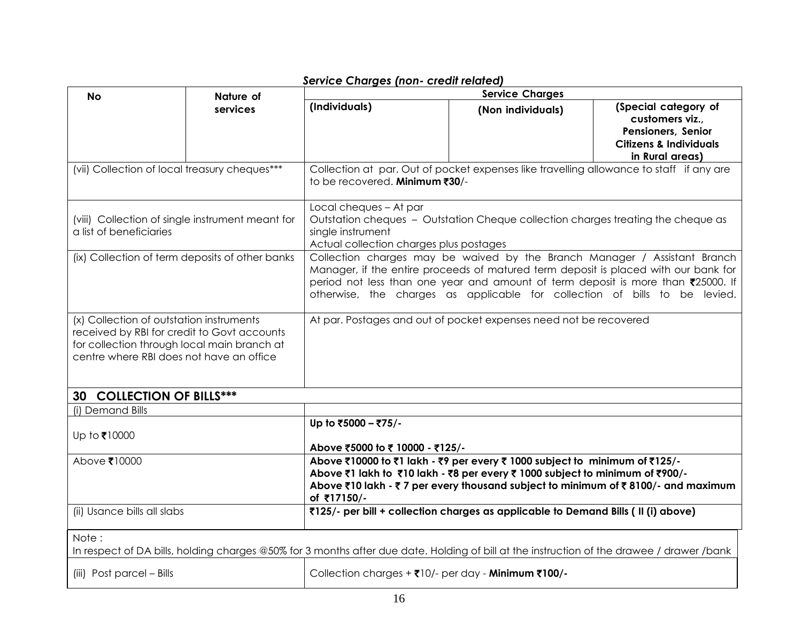|                                                  |                                                                              | service Charges (non- creali related)<br><b>Service Charges</b>                                                                                                |                                                                                   |                                   |  |
|--------------------------------------------------|------------------------------------------------------------------------------|----------------------------------------------------------------------------------------------------------------------------------------------------------------|-----------------------------------------------------------------------------------|-----------------------------------|--|
| <b>No</b>                                        | Nature of<br>services                                                        | (Individuals)<br>(Special category of<br>(Non individuals)                                                                                                     |                                                                                   |                                   |  |
|                                                  |                                                                              |                                                                                                                                                                |                                                                                   | customers viz.,                   |  |
|                                                  |                                                                              |                                                                                                                                                                |                                                                                   | <b>Pensioners, Senior</b>         |  |
|                                                  |                                                                              |                                                                                                                                                                |                                                                                   | <b>Citizens &amp; Individuals</b> |  |
|                                                  |                                                                              |                                                                                                                                                                |                                                                                   | in Rural areas)                   |  |
| (vii) Collection of local treasury cheques***    |                                                                              | Collection at par. Out of pocket expenses like travelling allowance to staff if any are<br>to be recovered. Minimum ₹30/-                                      |                                                                                   |                                   |  |
|                                                  |                                                                              | Local cheques - At par                                                                                                                                         |                                                                                   |                                   |  |
| (viii) Collection of single instrument meant for |                                                                              | Outstation cheques - Outstation Cheque collection charges treating the cheque as                                                                               |                                                                                   |                                   |  |
| a list of beneficiaries                          |                                                                              | single instrument                                                                                                                                              |                                                                                   |                                   |  |
|                                                  |                                                                              | Actual collection charges plus postages<br>Collection charges may be waived by the Branch Manager / Assistant Branch                                           |                                                                                   |                                   |  |
| (ix) Collection of term deposits of other banks  |                                                                              |                                                                                                                                                                |                                                                                   |                                   |  |
|                                                  |                                                                              | Manager, if the entire proceeds of matured term deposit is placed with our bank for                                                                            |                                                                                   |                                   |  |
|                                                  |                                                                              | period not less than one year and amount of term deposit is more than ₹25000. If<br>otherwise, the charges as applicable for collection of bills to be levied. |                                                                                   |                                   |  |
|                                                  |                                                                              |                                                                                                                                                                |                                                                                   |                                   |  |
| (x) Collection of outstation instruments         |                                                                              | At par. Postages and out of pocket expenses need not be recovered                                                                                              |                                                                                   |                                   |  |
| received by RBI for credit to Govt accounts      |                                                                              |                                                                                                                                                                |                                                                                   |                                   |  |
| for collection through local main branch at      |                                                                              |                                                                                                                                                                |                                                                                   |                                   |  |
| centre where RBI does not have an office         |                                                                              |                                                                                                                                                                |                                                                                   |                                   |  |
|                                                  |                                                                              |                                                                                                                                                                |                                                                                   |                                   |  |
|                                                  |                                                                              |                                                                                                                                                                |                                                                                   |                                   |  |
| 30 COLLECTION OF BILLS***                        |                                                                              |                                                                                                                                                                |                                                                                   |                                   |  |
| (i) Demand Bills                                 |                                                                              | Up to ₹5000 - ₹75/-                                                                                                                                            |                                                                                   |                                   |  |
| Up to ₹10000                                     |                                                                              |                                                                                                                                                                |                                                                                   |                                   |  |
|                                                  |                                                                              | Above ₹5000 to ₹10000 - ₹125/-                                                                                                                                 |                                                                                   |                                   |  |
| Above ₹10000                                     |                                                                              |                                                                                                                                                                | Above ₹10000 to ₹1 lakh - ₹9 per every ₹ 1000 subject to minimum of ₹125/-        |                                   |  |
|                                                  | Above ₹1 lakh to ₹10 lakh - ₹8 per every ₹ 1000 subject to minimum of ₹900/- |                                                                                                                                                                |                                                                                   |                                   |  |
|                                                  |                                                                              | Above ₹10 lakh - ₹7 per every thousand subject to minimum of ₹8100/- and maximum                                                                               |                                                                                   |                                   |  |
|                                                  |                                                                              | of ₹17150/-                                                                                                                                                    |                                                                                   |                                   |  |
| (ii) Usance bills all slabs                      |                                                                              |                                                                                                                                                                | ₹125/- per bill + collection charges as applicable to Demand Bills (II (i) above) |                                   |  |
| Note:                                            |                                                                              |                                                                                                                                                                |                                                                                   |                                   |  |
|                                                  |                                                                              | In respect of DA bills, holding charges @50% for 3 months after due date. Holding of bill at the instruction of the drawee / drawer /bank                      |                                                                                   |                                   |  |
| (iii) Post parcel - Bills                        |                                                                              | Collection charges + ₹10/- per day - Minimum ₹100/-                                                                                                            |                                                                                   |                                   |  |